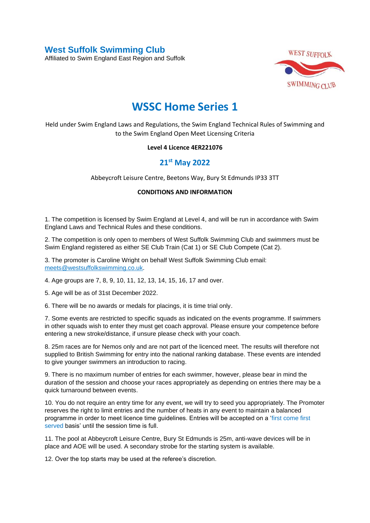**West Suffolk Swimming Club** 

Affiliated to Swim England East Region and Suffolk



## **WSSC Home Series 1**

Held under Swim England Laws and Regulations, the Swim England Technical Rules of Swimming and to the Swim England Open Meet Licensing Criteria

## **Level 4 Licence 4ER221076**

## **21st May 2022**

Abbeycroft Leisure Centre, Beetons Way, Bury St Edmunds IP33 3TT

## **CONDITIONS AND INFORMATION**

1. The competition is licensed by Swim England at Level 4, and will be run in accordance with Swim England Laws and Technical Rules and these conditions.

2. The competition is only open to members of West Suffolk Swimming Club and swimmers must be Swim England registered as either SE Club Train (Cat 1) or SE Club Compete (Cat 2).

3. The promoter is Caroline Wright on behalf West Suffolk Swimming Club email: [meets@westsuffolkswimming.co.uk.](about:blank)

4. Age groups are 7, 8, 9, 10, 11, 12, 13, 14, 15, 16, 17 and over.

5. Age will be as of 31st December 2022.

6. There will be no awards or medals for placings, it is time trial only.

7. Some events are restricted to specific squads as indicated on the events programme. If swimmers in other squads wish to enter they must get coach approval. Please ensure your competence before entering a new stroke/distance, if unsure please check with your coach.

8. 25m races are for Nemos only and are not part of the licenced meet. The results will therefore not supplied to British Swimming for entry into the national ranking database. These events are intended to give younger swimmers an introduction to racing.

9. There is no maximum number of entries for each swimmer, however, please bear in mind the duration of the session and choose your races appropriately as depending on entries there may be a quick turnaround between events.

10. You do not require an entry time for any event, we will try to seed you appropriately. The Promoter reserves the right to limit entries and the number of heats in any event to maintain a balanced programme in order to meet licence time guidelines. Entries will be accepted on a 'first come first served basis' until the session time is full.

11. The pool at Abbeycroft Leisure Centre, Bury St Edmunds is 25m, anti-wave devices will be in place and AOE will be used. A secondary strobe for the starting system is available.

12. Over the top starts may be used at the referee's discretion.